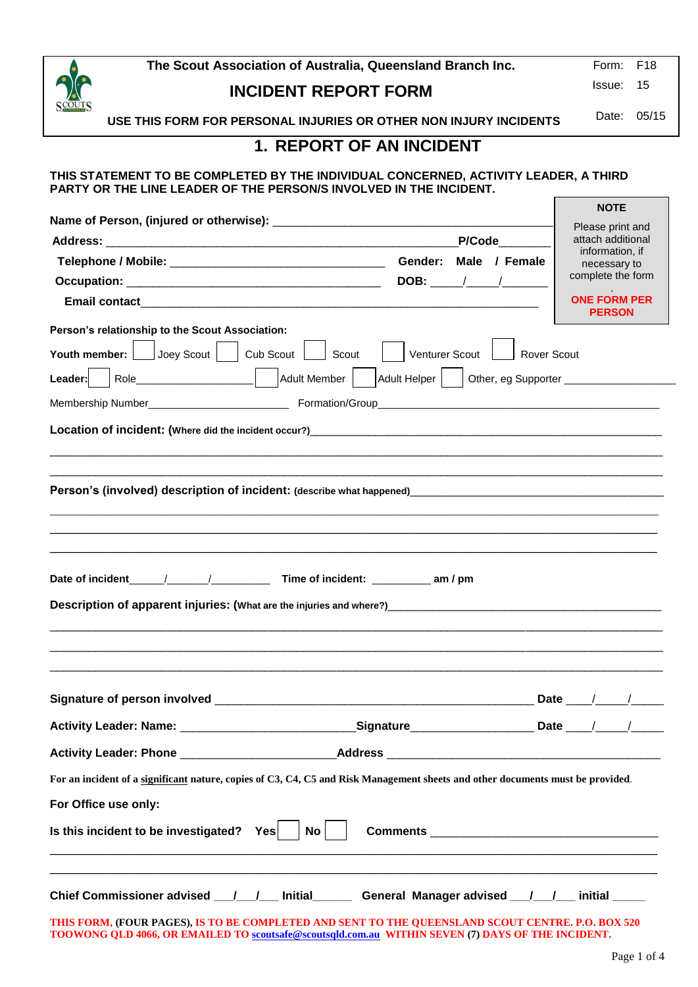| <u>10 mm monach is no miscugaical receptive</u> property at the common <u>contractor of the contractor</u>                                                                                             |                                     |
|--------------------------------------------------------------------------------------------------------------------------------------------------------------------------------------------------------|-------------------------------------|
| Chief Commissioner advised / / Initial                                                                                                                                                                 | General Manager advised / / initial |
| THIS FORM, (FOUR PAGES), IS TO BE COMPLETED AND SENT TO THE OUEENSLAND SCOUT CENTRE, P.O. BOX 520<br>TOOWONG QLD 4066, OR EMAILED TO scoutsafe@scoutsqld.com.au WITHIN SEVEN (7) DAYS OF THE INCIDENT. |                                     |

| <b>INCIDENT REPORT FORM</b> |  |
|-----------------------------|--|
|                             |  |

**The Scout Association of Australia, Queensland Branch Inc.** Form: F18

Issue: 15

Date: 05/15

**USE THIS FORM FOR PERSONAL INJURIES OR OTHER NON INJURY INCIDENTS**

### **1. REPORT OF AN INCIDENT**

### **THIS STATEMENT TO BE COMPLETED BY THE INDIVIDUAL CONCERNED, ACTIVITY LEADER, A THIRD PARTY OR THE LINE LEADER OF THE PERSON/S INVOLVED IN THE INCIDENT.**

|                                                                                                                                                                                                                                                                                                                                                                                                                                                                                                                                                           | P/Code                                                                                              | Please print and<br>attach additional |
|-----------------------------------------------------------------------------------------------------------------------------------------------------------------------------------------------------------------------------------------------------------------------------------------------------------------------------------------------------------------------------------------------------------------------------------------------------------------------------------------------------------------------------------------------------------|-----------------------------------------------------------------------------------------------------|---------------------------------------|
|                                                                                                                                                                                                                                                                                                                                                                                                                                                                                                                                                           | Gender: Male / Female                                                                               | information, if<br>necessary to       |
|                                                                                                                                                                                                                                                                                                                                                                                                                                                                                                                                                           |                                                                                                     | complete the form                     |
|                                                                                                                                                                                                                                                                                                                                                                                                                                                                                                                                                           |                                                                                                     | <b>ONE FORM PER</b><br><b>PERSON</b>  |
| Person's relationship to the Scout Association:                                                                                                                                                                                                                                                                                                                                                                                                                                                                                                           |                                                                                                     |                                       |
| Youth member:     Joey Scout     Cub Scout     Scout                                                                                                                                                                                                                                                                                                                                                                                                                                                                                                      | Venturer Scout                                                                                      | <b>Rover Scout</b>                    |
| Leader:                                                                                                                                                                                                                                                                                                                                                                                                                                                                                                                                                   | Role_____________________  Adult Member   Adult Helper   Other, eg Supporter ______________________ |                                       |
|                                                                                                                                                                                                                                                                                                                                                                                                                                                                                                                                                           |                                                                                                     |                                       |
|                                                                                                                                                                                                                                                                                                                                                                                                                                                                                                                                                           |                                                                                                     |                                       |
| Person's (involved) description of incident: (describe what happened)                                                                                                                                                                                                                                                                                                                                                                                                                                                                                     |                                                                                                     |                                       |
|                                                                                                                                                                                                                                                                                                                                                                                                                                                                                                                                                           |                                                                                                     |                                       |
|                                                                                                                                                                                                                                                                                                                                                                                                                                                                                                                                                           |                                                                                                     |                                       |
|                                                                                                                                                                                                                                                                                                                                                                                                                                                                                                                                                           |                                                                                                     |                                       |
|                                                                                                                                                                                                                                                                                                                                                                                                                                                                                                                                                           |                                                                                                     |                                       |
|                                                                                                                                                                                                                                                                                                                                                                                                                                                                                                                                                           |                                                                                                     | Date / /                              |
|                                                                                                                                                                                                                                                                                                                                                                                                                                                                                                                                                           |                                                                                                     |                                       |
|                                                                                                                                                                                                                                                                                                                                                                                                                                                                                                                                                           |                                                                                                     |                                       |
|                                                                                                                                                                                                                                                                                                                                                                                                                                                                                                                                                           |                                                                                                     |                                       |
|                                                                                                                                                                                                                                                                                                                                                                                                                                                                                                                                                           |                                                                                                     |                                       |
| Description of apparent injuries: (What are the injuries and where?) [14] Description of apparent injuries: (What are the injuries and where?) [14] Description and the substitution of the state of the state of the state of<br>Activity Leader: Name: ________________________________Signature_______________________Date ____/_____/__<br>For an incident of a significant nature, copies of C3, C4, C5 and Risk Management sheets and other documents must be provided.<br>For Office use only:<br>Is this incident to be investigated? Yes $\vert$ | No I                                                                                                |                                       |
| Chief Commissioner advised __/__/__ Initial______ General Manager advised __/__/__ initial _____                                                                                                                                                                                                                                                                                                                                                                                                                                                          |                                                                                                     |                                       |

 $\mathbf{S}$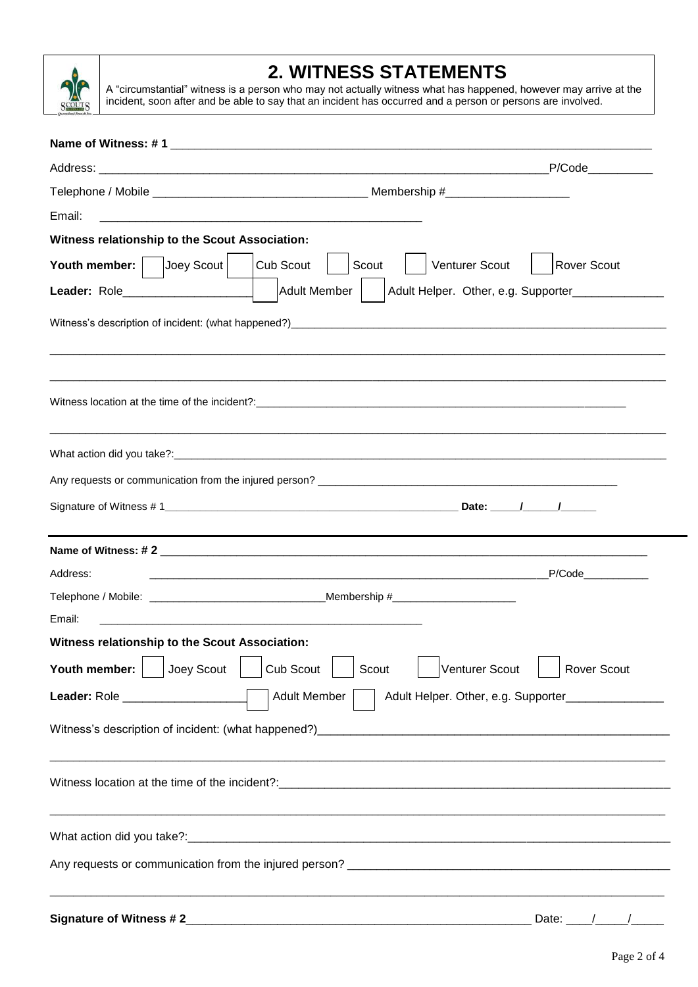

# **2. WITNESS STATEMENTS**

A "circumstantial" witness is a person who may not actually witness what has happened, however may arrive at the incident, soon after and be able to say that an incident has occurred and a person or persons are involved.

| Email:                                                                                                                                                            |                                                                      |  |  |  |
|-------------------------------------------------------------------------------------------------------------------------------------------------------------------|----------------------------------------------------------------------|--|--|--|
| Witness relationship to the Scout Association:                                                                                                                    |                                                                      |  |  |  |
| Youth member: Joey Scout                                                                                                                                          | Cub Scout<br>Venturer Scout<br>Rover Scout<br>Scout                  |  |  |  |
| Leader: Role                                                                                                                                                      | Adult Member<br>Adult Helper. Other, e.g. Supporter______________    |  |  |  |
|                                                                                                                                                                   |                                                                      |  |  |  |
|                                                                                                                                                                   |                                                                      |  |  |  |
|                                                                                                                                                                   |                                                                      |  |  |  |
|                                                                                                                                                                   |                                                                      |  |  |  |
|                                                                                                                                                                   |                                                                      |  |  |  |
|                                                                                                                                                                   |                                                                      |  |  |  |
| Address:                                                                                                                                                          |                                                                      |  |  |  |
|                                                                                                                                                                   |                                                                      |  |  |  |
| Email:                                                                                                                                                            | <u> 1989 - Johann John Stone, mars eta biztanleria (h. 1989).</u>    |  |  |  |
| Witness relationship to the Scout Association:<br>the contract of the contract of the contract of the contract of the contract of the contract of the contract of |                                                                      |  |  |  |
| Youth member:     Joey Scout                                                                                                                                      | Venturer Scout<br>Cub Scout<br>Scout<br><b>Rover Scout</b>           |  |  |  |
| Leader: Role _________________                                                                                                                                    | Adult Member<br>Adult Helper. Other, e.g. Supporter_________________ |  |  |  |
|                                                                                                                                                                   |                                                                      |  |  |  |
|                                                                                                                                                                   |                                                                      |  |  |  |
|                                                                                                                                                                   |                                                                      |  |  |  |
|                                                                                                                                                                   |                                                                      |  |  |  |
| Signature of Witness #2                                                                                                                                           | $\frac{1}{\sqrt{2}}$<br>Date:                                        |  |  |  |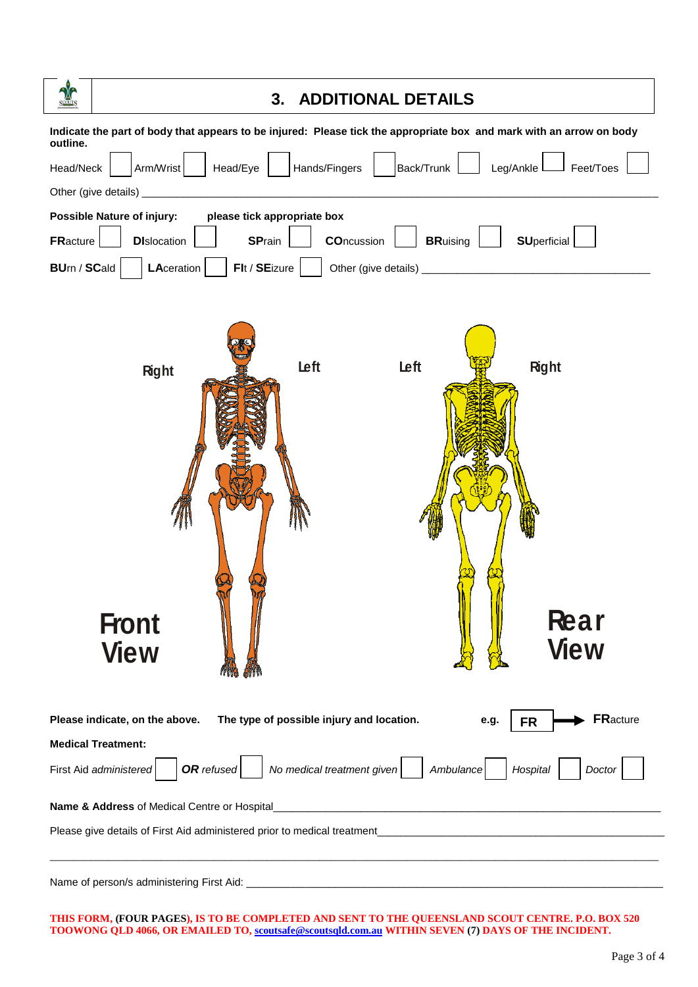| <b>ADDITIONAL DETAILS</b><br>3.                                                                                                  |  |  |  |  |
|----------------------------------------------------------------------------------------------------------------------------------|--|--|--|--|
| Indicate the part of body that appears to be injured: Please tick the appropriate box and mark with an arrow on body<br>outline. |  |  |  |  |
| Arm/Wrist<br>Head/Eye<br>Hands/Fingers<br>Back/Trunk<br>Leg/Ankle<br>Head/Neck<br>Feet/Toes                                      |  |  |  |  |
| Other (give details) _                                                                                                           |  |  |  |  |
| <b>Possible Nature of injury:</b><br>please tick appropriate box                                                                 |  |  |  |  |
| <b>SPrain</b><br><b>COncussion</b><br><b>SUperficial</b><br><b>DI</b> slocation<br><b>BRuising</b><br><b>FRacture</b>            |  |  |  |  |
| Flt / SEizure<br><b>BUrn / SCald</b><br>LAceration                                                                               |  |  |  |  |
| Left<br>Left<br><b>Right</b><br><b>Right</b><br><b>Rear</b><br><b>Front</b><br><b>View</b><br><b>View</b>                        |  |  |  |  |
| <b>FRacture</b><br>Please indicate, on the above.<br>The type of possible injury and location.<br>e.g.<br><b>FR</b>              |  |  |  |  |
| <b>Medical Treatment:</b>                                                                                                        |  |  |  |  |
| OR refused<br>No medical treatment given<br>First Aid administered<br>Hospital<br>Ambulance<br>Doctor                            |  |  |  |  |
| Name & Address of Medical Centre or Hospital                                                                                     |  |  |  |  |
|                                                                                                                                  |  |  |  |  |
| Name of person/s administering First Aid:                                                                                        |  |  |  |  |

THIS FORM, (FOUR PAGES), IS TO BE COMPLETED AND SENT TO THE QUEENSLAND SCOUT CENTRE. P.O. BOX 520 TOOWONG QLD 4066, OR EMAILED TO, <u>scoutsafe@scoutsqld.com.au</u> WITHIN SEVEN (7) DAYS OF THE INCIDENT.